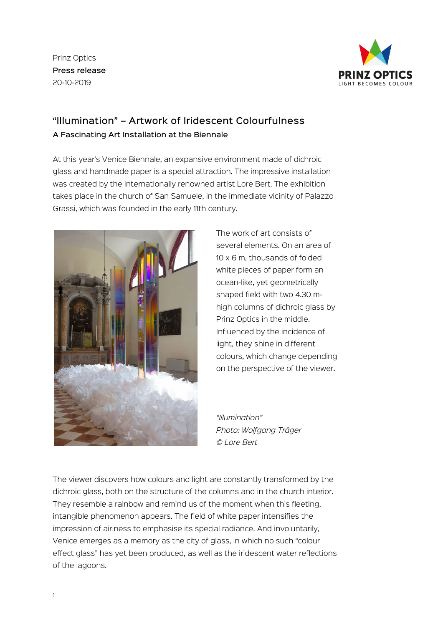Prinz Optics Press release 20-10-2019



## "Illumination" – Artwork of Iridescent Colourfulness A Fascinating Art Installation at the Biennale

At this year's Venice Biennale, an expansive environment made of dichroic glass and handmade paper is a special attraction. The impressive installation was created by the internationally renowned artist Lore Bert. The exhibition takes place in the church of San Samuele, in the immediate vicinity of Palazzo Grassi, which was founded in the early 11th century.



The work of art consists of several elements. On an area of 10 x 6 m, thousands of folded white pieces of paper form an ocean-like, yet geometrically shaped field with two 4.30 mhigh columns of dichroic glass by Prinz Optics in the middle. Influenced by the incidence of light, they shine in different colours, which change depending on the perspective of the viewer.

*"Illumination" Photo: Wolfgang Träger © Lore Bert*

The viewer discovers how colours and light are constantly transformed by the dichroic glass, both on the structure of the columns and in the church interior. They resemble a rainbow and remind us of the moment when this fleeting, intangible phenomenon appears. The field of white paper intensifies the impression of airiness to emphasise its special radiance. And involuntarily, Venice emerges as a memory as the city of glass, in which no such "colour effect glass" has yet been produced, as well as the iridescent water reflections of the lagoons.